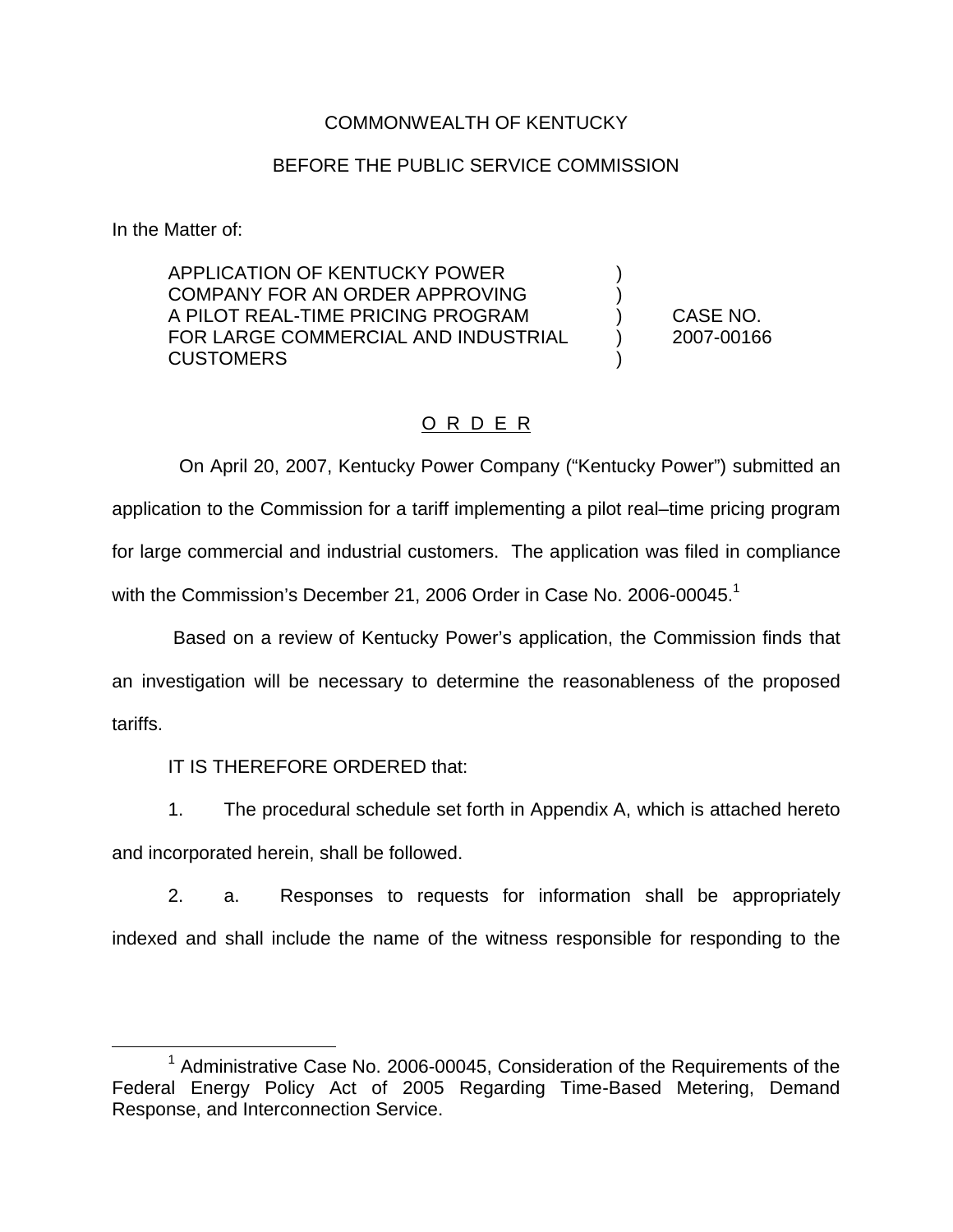### COMMONWEALTH OF KENTUCKY

### BEFORE THE PUBLIC SERVICE COMMISSION

In the Matter of:

APPLICATION OF KENTUCKY POWER COMPANY FOR AN ORDER APPROVING A PILOT REAL-TIME PRICING PROGRAM (CASE NO. FOR LARGE COMMERCIAL AND INDUSTRIAL (2007-00166 **CUSTOMERS** 

# O R D E R

On April 20, 2007, Kentucky Power Company ("Kentucky Power") submitted an application to the Commission for a tariff implementing a pilot real–time pricing program for large commercial and industrial customers. The application was filed in compliance with the Commission's December 21, 2006 Order in Case No. 2006-00045.<sup>1</sup>

Based on a review of Kentucky Power's application, the Commission finds that an investigation will be necessary to determine the reasonableness of the proposed tariffs.

IT IS THEREFORE ORDERED that:

1. The procedural schedule set forth in Appendix A, which is attached hereto

and incorporated herein, shall be followed.

2. a. Responses to requests for information shall be appropriately indexed and shall include the name of the witness responsible for responding to the

 $1$  Administrative Case No. 2006-00045, Consideration of the Requirements of the Federal Energy Policy Act of 2005 Regarding Time-Based Metering, Demand Response, and Interconnection Service.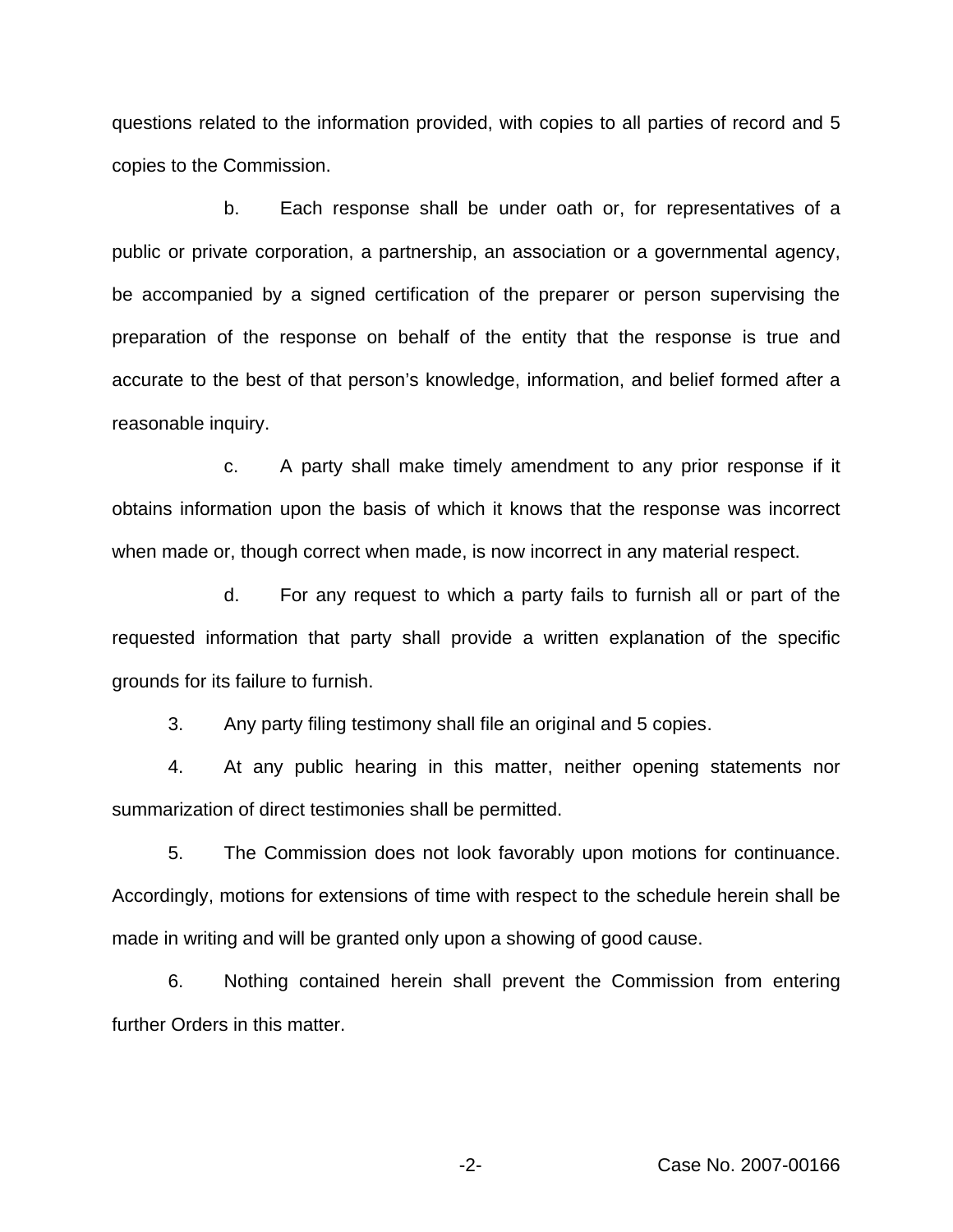questions related to the information provided, with copies to all parties of record and 5 copies to the Commission.

b. Each response shall be under oath or, for representatives of a public or private corporation, a partnership, an association or a governmental agency, be accompanied by a signed certification of the preparer or person supervising the preparation of the response on behalf of the entity that the response is true and accurate to the best of that person's knowledge, information, and belief formed after a reasonable inquiry.

c. A party shall make timely amendment to any prior response if it obtains information upon the basis of which it knows that the response was incorrect when made or, though correct when made, is now incorrect in any material respect.

d. For any request to which a party fails to furnish all or part of the requested information that party shall provide a written explanation of the specific grounds for its failure to furnish.

3. Any party filing testimony shall file an original and 5 copies.

4. At any public hearing in this matter, neither opening statements nor summarization of direct testimonies shall be permitted.

5. The Commission does not look favorably upon motions for continuance. Accordingly, motions for extensions of time with respect to the schedule herein shall be made in writing and will be granted only upon a showing of good cause.

6. Nothing contained herein shall prevent the Commission from entering further Orders in this matter.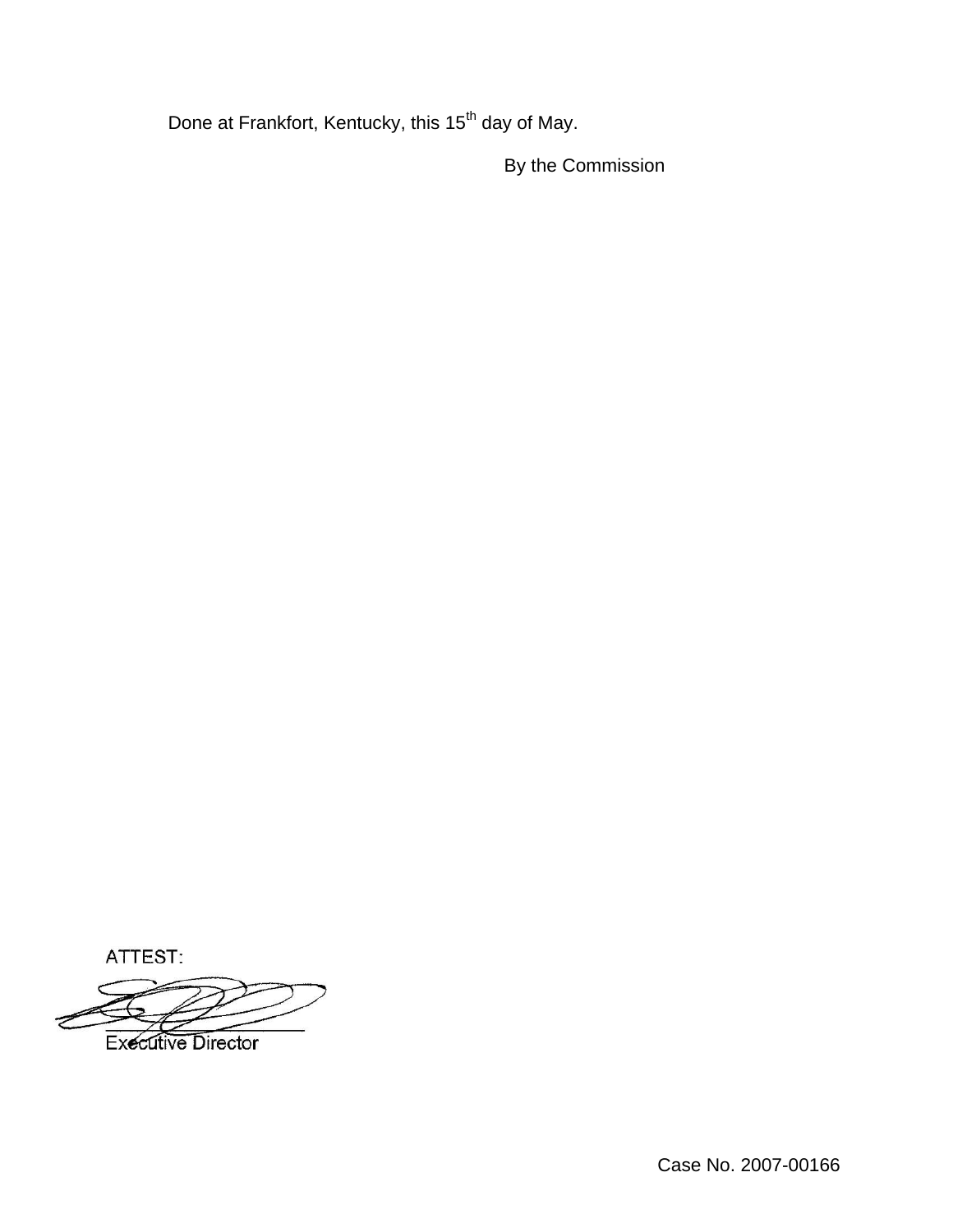Done at Frankfort, Kentucky, this 15<sup>th</sup> day of May.

By the Commission

ATTEST:

**Executive Director**